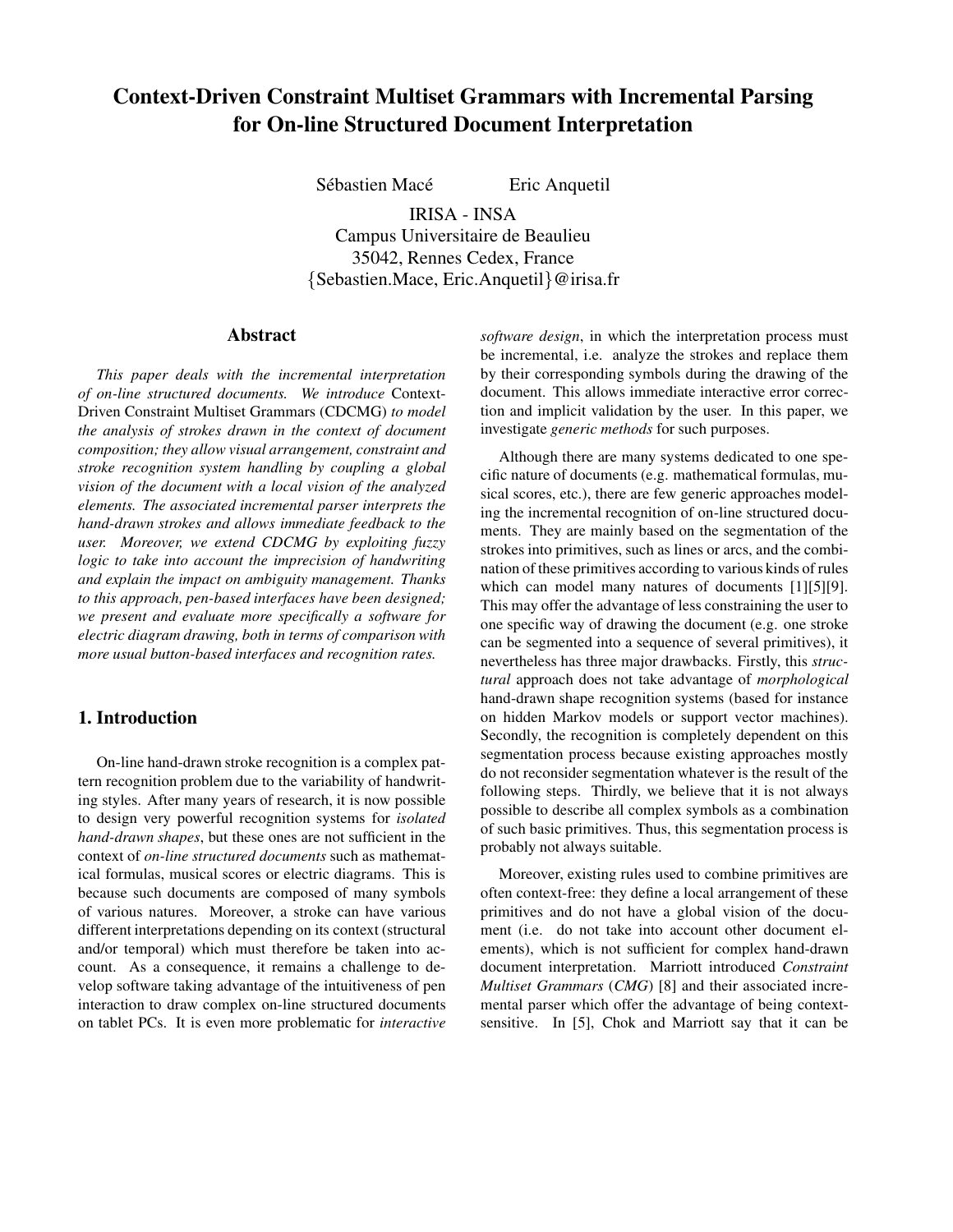# **Context-Driven Constraint Multiset Grammars with Incremental Parsing for On-line Structured Document Interpretation**

Sébastien Macé Eric Anquetil

IRISA - INSA Campus Universitaire de Beaulieu 35042, Rennes Cedex, France {Sebastien.Mace, Eric.Anquetil}@irisa.fr

## **Abstract**

*This paper deals with the incremental interpretation of on-line structured documents. We introduce* Context-Driven Constraint Multiset Grammars (CDCMG) *to model the analysis of strokes drawn in the context of document composition; they allow visual arrangement, constraint and stroke recognition system handling by coupling a global vision of the document with a local vision of the analyzed elements. The associated incremental parser interprets the hand-drawn strokes and allows immediate feedback to the user. Moreover, we extend CDCMG by exploiting fuzzy logic to take into account the imprecision of handwriting and explain the impact on ambiguity management. Thanks to this approach, pen-based interfaces have been designed; we present and evaluate more specifically a software for electric diagram drawing, both in terms of comparison with more usual button-based interfaces and recognition rates.*

# **1. Introduction**

On-line hand-drawn stroke recognition is a complex pattern recognition problem due to the variability of handwriting styles. After many years of research, it is now possible to design very powerful recognition systems for *isolated hand-drawn shapes*, but these ones are not sufficient in the context of *on-line structured documents* such as mathematical formulas, musical scores or electric diagrams. This is because such documents are composed of many symbols of various natures. Moreover, a stroke can have various different interpretations depending on its context (structural and/or temporal) which must therefore be taken into account. As a consequence, it remains a challenge to develop software taking advantage of the intuitiveness of pen interaction to draw complex on-line structured documents on tablet PCs. It is even more problematic for *interactive*

*software design*, in which the interpretation process must be incremental, i.e. analyze the strokes and replace them by their corresponding symbols during the drawing of the document. This allows immediate interactive error correction and implicit validation by the user. In this paper, we investigate *generic methods* for such purposes.

Although there are many systems dedicated to one specific nature of documents (e.g. mathematical formulas, musical scores, etc.), there are few generic approaches modeling the incremental recognition of on-line structured documents. They are mainly based on the segmentation of the strokes into primitives, such as lines or arcs, and the combination of these primitives according to various kinds of rules which can model many natures of documents [1][5][9]. This may offer the advantage of less constraining the user to one specific way of drawing the document (e.g. one stroke can be segmented into a sequence of several primitives), it nevertheless has three major drawbacks. Firstly, this *structural* approach does not take advantage of *morphological* hand-drawn shape recognition systems (based for instance on hidden Markov models or support vector machines). Secondly, the recognition is completely dependent on this segmentation process because existing approaches mostly do not reconsider segmentation whatever is the result of the following steps. Thirdly, we believe that it is not always possible to describe all complex symbols as a combination of such basic primitives. Thus, this segmentation process is probably not always suitable.

Moreover, existing rules used to combine primitives are often context-free: they define a local arrangement of these primitives and do not have a global vision of the document (i.e. do not take into account other document elements), which is not sufficient for complex hand-drawn document interpretation. Marriott introduced *Constraint Multiset Grammars* (*CMG*) [8] and their associated incremental parser which offer the advantage of being contextsensitive. In [5], Chok and Marriott say that it can be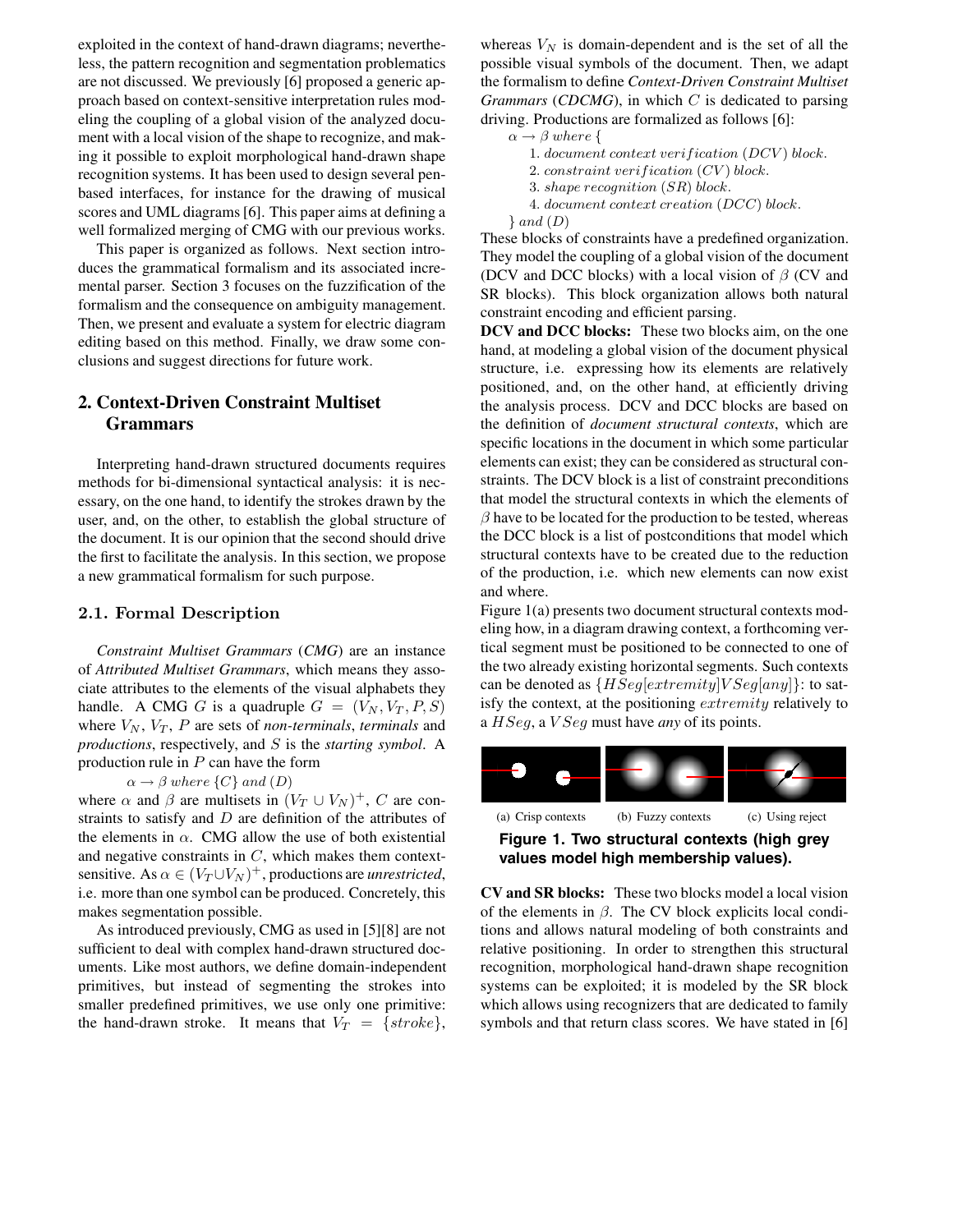exploited in the context of hand-drawn diagrams; nevertheless, the pattern recognition and segmentation problematics are not discussed. We previously [6] proposed a generic approach based on context-sensitive interpretation rules modeling the coupling of a global vision of the analyzed document with a local vision of the shape to recognize, and making it possible to exploit morphological hand-drawn shape recognition systems. It has been used to design several penbased interfaces, for instance for the drawing of musical scores and UML diagrams [6]. This paper aims at defining a well formalized merging of CMG with our previous works.

This paper is organized as follows. Next section introduces the grammatical formalism and its associated incremental parser. Section 3 focuses on the fuzzification of the formalism and the consequence on ambiguity management. Then, we present and evaluate a system for electric diagram editing based on this method. Finally, we draw some conclusions and suggest directions for future work.

# **2. Context-Driven Constraint Multiset Grammars**

Interpreting hand-drawn structured documents requires methods for bi-dimensional syntactical analysis: it is necessary, on the one hand, to identify the strokes drawn by the user, and, on the other, to establish the global structure of the document. It is our opinion that the second should drive the first to facilitate the analysis. In this section, we propose a new grammatical formalism for such purpose.

#### **2.1. Formal Description**

*Constraint Multiset Grammars* (*CMG*) are an instance of *Attributed Multiset Grammars*, which means they associate attributes to the elements of the visual alphabets they handle. A CMG G is a quadruple  $G = (V_N, V_T, P, S)$ where  $V_N$ ,  $V_T$ ,  $P$  are sets of *non-terminals*, *terminals* and *productions*, respectively, and S is the *starting symbol*. A production rule in  $P$  can have the form

 $\alpha \rightarrow \beta$  where  $\{C\}$  and  $(D)$ 

where  $\alpha$  and  $\beta$  are multisets in  $(V_T \cup V_N)^+$ , C are constraints to satisfy and  $D$  are definition of the attributes of the elements in  $\alpha$ . CMG allow the use of both existential and negative constraints in  $C$ , which makes them contextsensitive. As  $\alpha \in (V_T \cup V_N)^+$ , productions are *unrestricted*, i.e. more than one symbol can be produced. Concretely, this makes segmentation possible.

As introduced previously, CMG as used in [5][8] are not sufficient to deal with complex hand-drawn structured documents. Like most authors, we define domain-independent primitives, but instead of segmenting the strokes into smaller predefined primitives, we use only one primitive: the hand-drawn stroke. It means that  $V_T = \{ stroke \}$ ,

whereas  $V_N$  is domain-dependent and is the set of all the possible visual symbols of the document. Then, we adapt the formalism to define *Context-Driven Constraint Multiset Grammars* (*CDCMG*), in which C is dedicated to parsing driving. Productions are formalized as follows [6]:

```
\alpha \rightarrow \beta where {
```
1. document context verification (DCV) block.

2. constraint verification  $(CV)$  block.

4. document context creation (DCC) block.

 $\}$  and  $(D)$ 

These blocks of constraints have a predefined organization. They model the coupling of a global vision of the document (DCV and DCC blocks) with a local vision of  $\beta$  (CV and SR blocks). This block organization allows both natural constraint encoding and efficient parsing.

**DCV and DCC blocks:** These two blocks aim, on the one hand, at modeling a global vision of the document physical structure, i.e. expressing how its elements are relatively positioned, and, on the other hand, at efficiently driving the analysis process. DCV and DCC blocks are based on the definition of *document structural contexts*, which are specific locations in the document in which some particular elements can exist; they can be considered as structural constraints. The DCV block is a list of constraint preconditions that model the structural contexts in which the elements of  $\beta$  have to be located for the production to be tested, whereas the DCC block is a list of postconditions that model which structural contexts have to be created due to the reduction of the production, i.e. which new elements can now exist and where.

Figure 1(a) presents two document structural contexts modeling how, in a diagram drawing context, a forthcoming vertical segment must be positioned to be connected to one of the two already existing horizontal segments. Such contexts can be denoted as  $\{HSeq[extremity] \mid VSeq[any]\}$ : to satisfy the context, at the positioning extremity relatively to <sup>a</sup> HSeg, a V Seg must have *any* of its points.



**Figure 1. Two structural contexts (high grey values model high membership values).**

**CV and SR blocks:** These two blocks model a local vision of the elements in  $\beta$ . The CV block explicits local conditions and allows natural modeling of both constraints and relative positioning. In order to strengthen this structural recognition, morphological hand-drawn shape recognition systems can be exploited; it is modeled by the SR block which allows using recognizers that are dedicated to family symbols and that return class scores. We have stated in [6]

<sup>3</sup>. shape recognition (SR) block.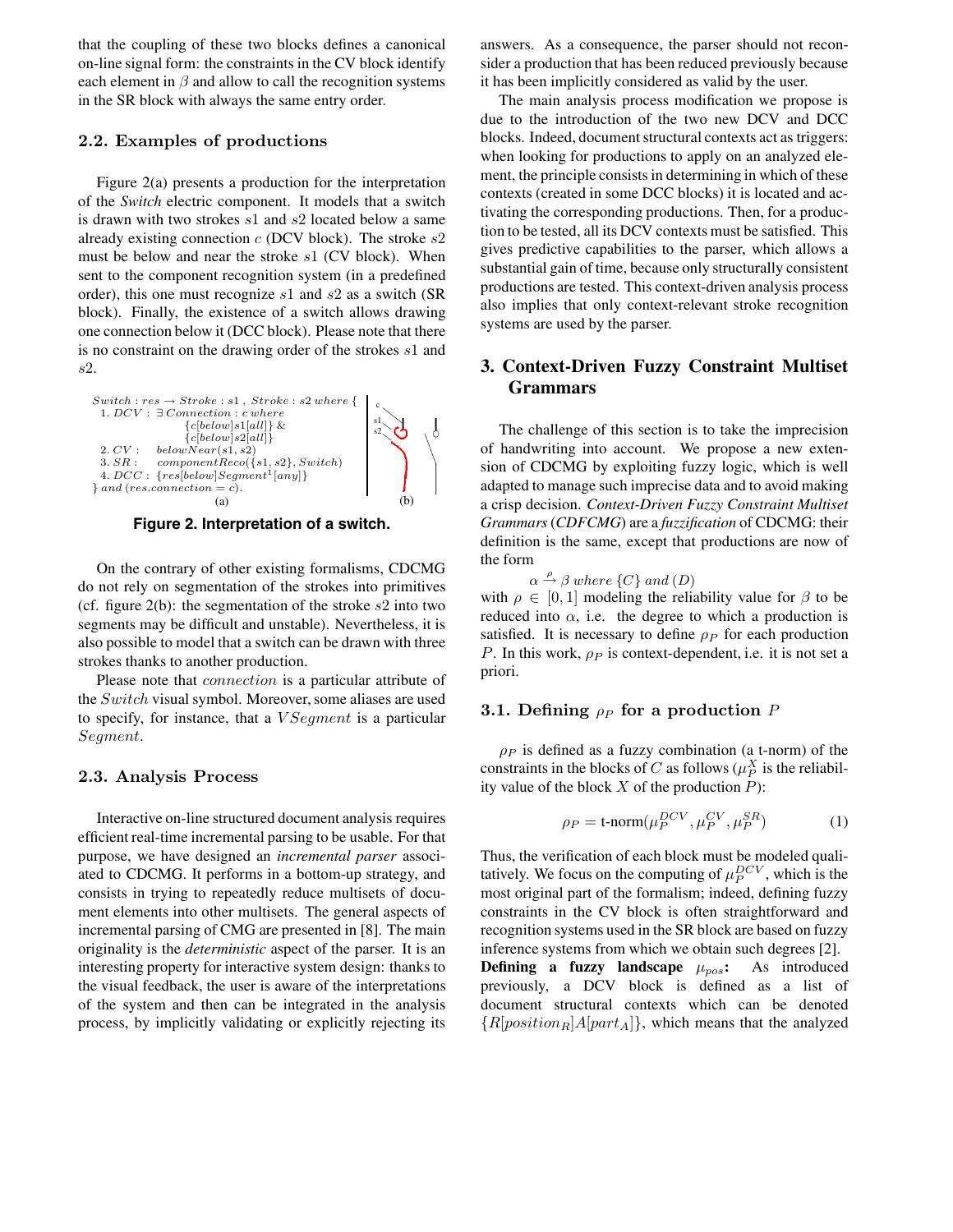that the coupling of these two blocks defines a canonical on-line signal form: the constraints in the CV block identify each element in  $\beta$  and allow to call the recognition systems in the SR block with always the same entry order.

#### **2.2. Examples of productions**

Figure 2(a) presents a production for the interpretation of the *Switch* electric component. It models that a switch is drawn with two strokes s<sup>1</sup> and s<sup>2</sup> located below a same already existing connection  $c$  (DCV block). The stroke  $s2$ must be below and near the stroke  $s1$  (CV block). When sent to the component recognition system (in a predefined order), this one must recognize s<sup>1</sup> and s<sup>2</sup> as a switch (SR block). Finally, the existence of a switch allows drawing one connection below it (DCC block). Please note that there is no constraint on the drawing order of the strokes s<sup>1</sup> and s2.



**Figure 2. Interpretation of a switch.**

On the contrary of other existing formalisms, CDCMG do not rely on segmentation of the strokes into primitives (cf. figure  $2(b)$ : the segmentation of the stroke  $s2$  into two segments may be difficult and unstable). Nevertheless, it is also possible to model that a switch can be drawn with three strokes thanks to another production.

Please note that *connection* is a particular attribute of the Switch visual symbol. Moreover, some aliases are used to specify, for instance, that a *V Segment* is a particular Segment.

#### **2.3. Analysis Process**

Interactive on-line structured document analysis requires efficient real-time incremental parsing to be usable. For that purpose, we have designed an *incremental parser* associated to CDCMG. It performs in a bottom-up strategy, and consists in trying to repeatedly reduce multisets of document elements into other multisets. The general aspects of incremental parsing of CMG are presented in [8]. The main originality is the *deterministic* aspect of the parser. It is an interesting property for interactive system design: thanks to the visual feedback, the user is aware of the interpretations of the system and then can be integrated in the analysis process, by implicitly validating or explicitly rejecting its

answers. As a consequence, the parser should not reconsider a production that has been reduced previously because it has been implicitly considered as valid by the user.

The main analysis process modification we propose is due to the introduction of the two new DCV and DCC blocks. Indeed, document structural contexts act as triggers: when looking for productions to apply on an analyzed element, the principle consists in determining in which of these contexts (created in some DCC blocks) it is located and activating the corresponding productions. Then, for a production to be tested, all its DCV contexts must be satisfied. This gives predictive capabilities to the parser, which allows a substantial gain of time, because only structurally consistent productions are tested. This context-driven analysis process also implies that only context-relevant stroke recognition systems are used by the parser.

# **3. Context-Driven Fuzzy Constraint Multiset Grammars**

The challenge of this section is to take the imprecision of handwriting into account. We propose a new extension of CDCMG by exploiting fuzzy logic, which is well adapted to manage such imprecise data and to avoid making a crisp decision. *Context-Driven Fuzzy Constraint Multiset Grammars*(*CDFCMG*) are a *fuzzification* of CDCMG: their definition is the same, except that productions are now of the form

 $\alpha \stackrel{\rho}{\rightarrow} \beta$  where  $\{C\}$  and  $(D)$ 

with  $\rho \in [0, 1]$  modeling the reliability value for  $\beta$  to be reduced into  $\alpha$ , i.e. the degree to which a production is satisfied. It is necessary to define  $\rho_P$  for each production P. In this work,  $\rho_P$  is context-dependent, i.e. it is not set a priori.

#### **3.1. Defining** <sup>ρ</sup>*<sup>P</sup>* **for a production** <sup>P</sup>

 $\rho_P$  is defined as a fuzzy combination (a t-norm) of the constraints in the blocks of C as follows  $(\mu_P^X)$  is the reliabil-<br>ity value of the block X of the production  $P$ . ity value of the block  $X$  of the production  $P$ ):

$$
\rho_P = \text{t-norm}(\mu_P^{DCV}, \mu_P^{CV}, \mu_P^{SR})
$$
 (1)

Thus, the verification of each block must be modeled qualitatively. We focus on the computing of  $\mu_P^{DCV}$ , which is the most original part of the formalism: indeed, defining fuzzy most original part of the formalism; indeed, defining fuzzy constraints in the CV block is often straightforward and recognition systems used in the SR block are based on fuzzy inference systems from which we obtain such degrees [2]. **Defining a fuzzy landscape**  $\mu_{pos}$ **:** As introduced previously, a DCV block is defined as a list of document structural contexts which can be denoted  ${R[position_R]A[part_A]}$ , which means that the analyzed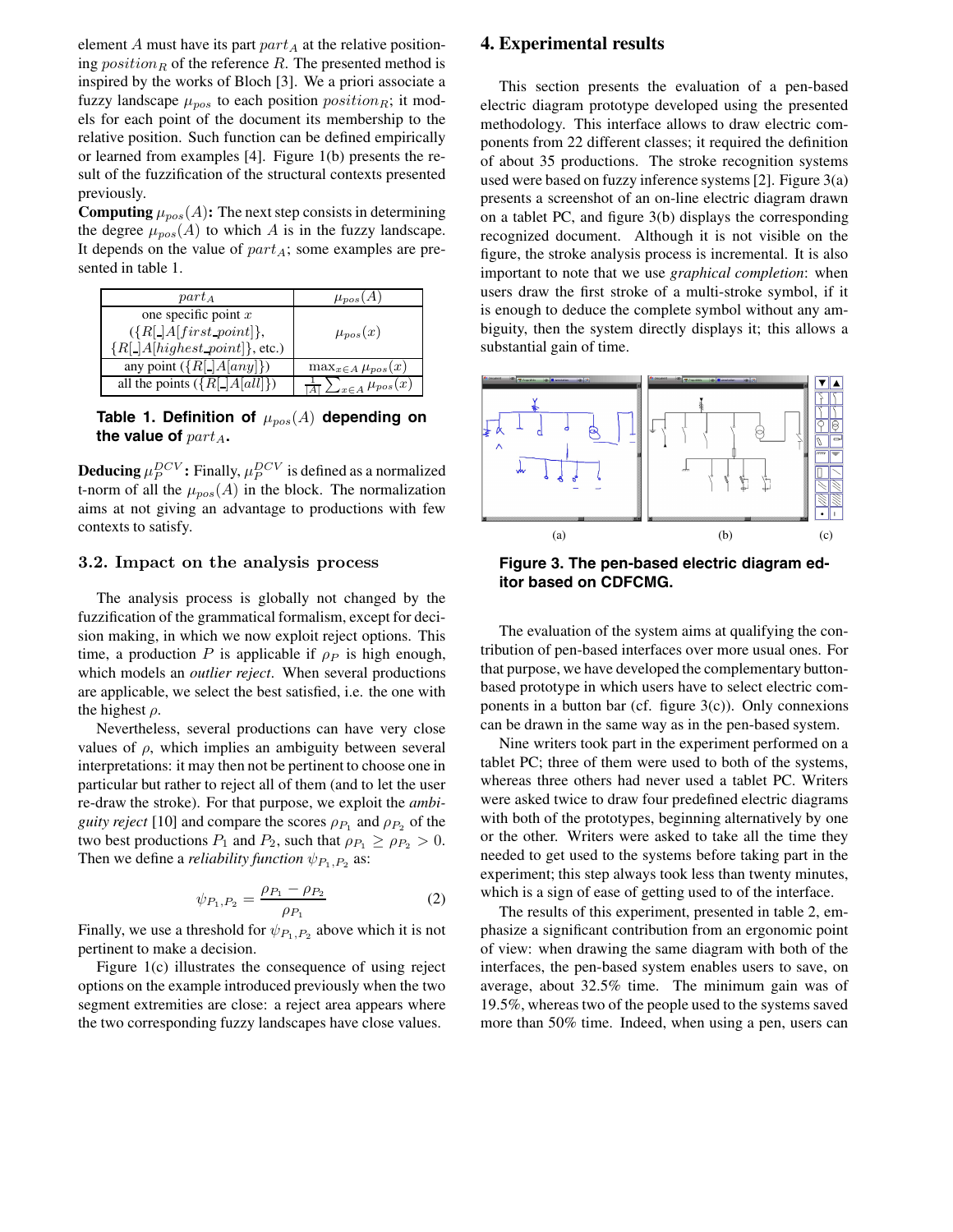element  $A$  must have its part  $part_A$  at the relative positioning  $position_R$  of the reference  $R$ . The presented method is inspired by the works of Bloch [3]. We a priori associate a fuzzy landscape  $\mu_{pos}$  to each position *position*<sub>R</sub>; it models for each point of the document its membership to the relative position. Such function can be defined empirically or learned from examples [4]. Figure 1(b) presents the result of the fuzzification of the structural contexts presented previously.

**Computing**  $\mu_{pos}(A)$ : The next step consists in determining the degree  $\mu_{pos}(A)$  to which A is in the fuzzy landscape. It depends on the value of part*A*; some examples are presented in table 1.

| $part_A$                             | $\mu_{pos}(A)$                |
|--------------------------------------|-------------------------------|
| one specific point $x$               |                               |
| $({R[$ <b>.</b> $ A first\_point$ }, | $\mu_{pos}(x)$                |
| ${R[\_]A[highest\_point]\},$ etc.)   |                               |
| any point $({R[\_]A[any]})$          | $\max_{x \in A} \mu_{pos}(x)$ |
| all the points $({R[\_}A[all])$      | $\sum_{x \in A} \mu_{pos}(x)$ |

Table 1. Definition of  $\mu_{pos}(A)$  depending on the value of  $part_A$ .

**Deducing**  $\mu_P^{DCV}$ : Finally,  $\mu_P^{DCV}$  is defined as a normalized<br>t-porm of all the  $\mu$  (4) in the block. The normalization t-norm of all the  $\mu_{pos}(A)$  in the block. The normalization aims at not giving an advantage to productions with few contexts to satisfy.

## **3.2. Impact on the analysis process**

The analysis process is globally not changed by the fuzzification of the grammatical formalism, except for decision making, in which we now exploit reject options. This time, a production P is applicable if  $\rho_P$  is high enough, which models an *outlier reject*. When several productions are applicable, we select the best satisfied, i.e. the one with the highest  $\rho$ .

Nevertheless, several productions can have very close values of  $\rho$ , which implies an ambiguity between several interpretations: it may then not be pertinent to choose one in particular but rather to reject all of them (and to let the user re-draw the stroke). For that purpose, we exploit the *ambiguity reject* [10] and compare the scores  $\rho_{P_1}$  and  $\rho_{P_2}$  of the two best productions  $P_1$  and  $P_2$ , such that  $\rho_{P_1} \geq \rho_{P_2} > 0$ . Then we define a *reliability function*  $\psi_{P_1, P_2}$  as:

$$
\psi_{P_1, P_2} = \frac{\rho_{P_1} - \rho_{P_2}}{\rho_{P_1}} \tag{2}
$$

Finally, we use a threshold for  $\psi_{P_1,P_2}$  above which it is not pertinent to make a decision pertinent to make a decision.

Figure 1(c) illustrates the consequence of using reject options on the example introduced previously when the two segment extremities are close: a reject area appears where the two corresponding fuzzy landscapes have close values.

## **4. Experimental results**

This section presents the evaluation of a pen-based electric diagram prototype developed using the presented methodology. This interface allows to draw electric components from 22 different classes; it required the definition of about 35 productions. The stroke recognition systems used were based on fuzzy inference systems [2]. Figure 3(a) presents a screenshot of an on-line electric diagram drawn on a tablet PC, and figure 3(b) displays the corresponding recognized document. Although it is not visible on the figure, the stroke analysis process is incremental. It is also important to note that we use *graphical completion*: when users draw the first stroke of a multi-stroke symbol, if it is enough to deduce the complete symbol without any ambiguity, then the system directly displays it; this allows a substantial gain of time.



**Figure 3. The pen-based electric diagram editor based on CDFCMG.**

The evaluation of the system aims at qualifying the contribution of pen-based interfaces over more usual ones. For that purpose, we have developed the complementary buttonbased prototype in which users have to select electric components in a button bar (cf. figure  $3(c)$ ). Only connexions can be drawn in the same way as in the pen-based system.

Nine writers took part in the experiment performed on a tablet PC; three of them were used to both of the systems, whereas three others had never used a tablet PC. Writers were asked twice to draw four predefined electric diagrams with both of the prototypes, beginning alternatively by one or the other. Writers were asked to take all the time they needed to get used to the systems before taking part in the experiment; this step always took less than twenty minutes, which is a sign of ease of getting used to of the interface.

The results of this experiment, presented in table 2, emphasize a significant contribution from an ergonomic point of view: when drawing the same diagram with both of the interfaces, the pen-based system enables users to save, on average, about 32.5% time. The minimum gain was of 19.5%, whereas two of the people used to the systems saved more than 50% time. Indeed, when using a pen, users can